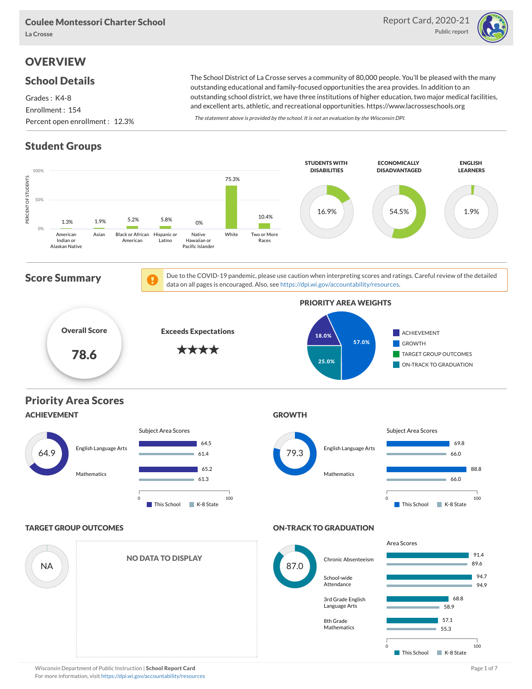

## **OVERVIEW**

#### School Details

Grades : K4-8 Enrollment : 154 Percent open enrollment : 12.3%

The School District of La Crosse serves a community of 80,000 people. You'll be pleased with the many outstanding educational and family-focused opportunities the area provides. In addition to an outstanding school district, we have three institutions of higher education, two major medical facilities, and excellent arts, athletic, and recreational opportunities. https://www.lacrosseschools.org

The statement above is provided by the school. It is not an evaluation by the Wisconsin DPI.

## Student Groups

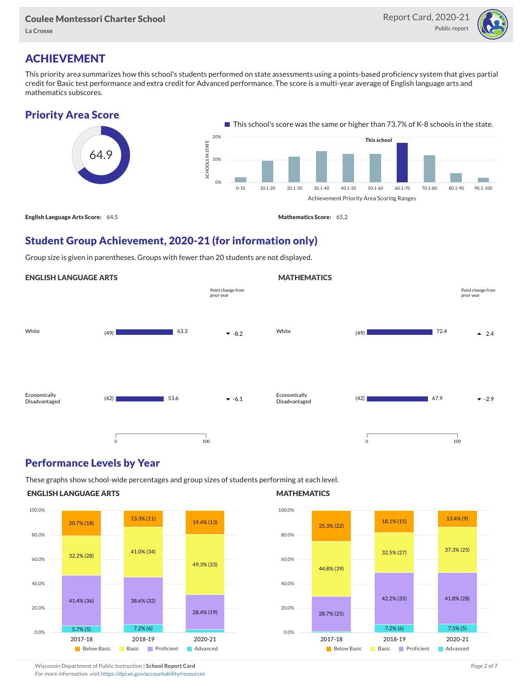

# ACHIEVEMENT

This priority area summarizes how this school's students performed on state assessments using a points-based proficiency system that gives partial credit for Basic test performance and extra credit for Advanced performance. The score is a multi-year average of English language arts and mathematics subscores.



# Student Group Achievement, 2020-21 (for information only)

Group size is given in parentheses. Groups with fewer than 20 students are not displayed.

#### ENGLISH LANGUAGE ARTS



### Performance Levels by Year

These graphs show school-wide percentages and group sizes of students performing at each level.

#### ENGLISH LANGUAGE ARTS



#### **MATHEMATICS**

**MATHEMATICS** 



Wisconsin Department of Public Instruction | School Report Card Page 2 of 7 and 2008 and 2009 and 2 of 7 and 2 of 7 For more information, visit <https://dpi.wi.gov/accountability/resources>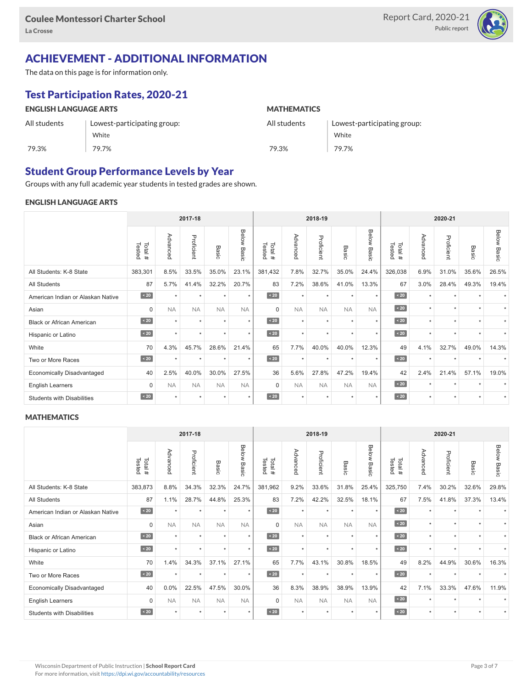

## ACHIEVEMENT - ADDITIONAL INFORMATION

The data on this page is for information only.

# Test Participation Rates, 2020-21

| <b>ENGLISH LANGUAGE ARTS</b> |                             | <b>MATHEMATICS</b> |                             |  |  |  |  |  |
|------------------------------|-----------------------------|--------------------|-----------------------------|--|--|--|--|--|
| All students                 | Lowest-participating group: | All students       | Lowest-participating group: |  |  |  |  |  |
|                              | White                       |                    | White                       |  |  |  |  |  |
| 79.3%                        | 79.7%                       | 79.3%              | 79.7%                       |  |  |  |  |  |

## Student Group Performance Levels by Year

Groups with any full academic year students in tested grades are shown.

#### ENGLISH LANGUAGE ARTS

|                                   |                  | 2017-18   |            |           | 2018-19            |                  |           |            | 2020-21   |                |                  |          |            |                      |                    |
|-----------------------------------|------------------|-----------|------------|-----------|--------------------|------------------|-----------|------------|-----------|----------------|------------------|----------|------------|----------------------|--------------------|
|                                   | Tested<br>Total# | Advanced  | Proficient | Basic     | <b>Below Basic</b> | Tested<br>Total# | Advanced  | Proficient | Basic     | Below<br>Basic | Tested<br>Total# | Advanced | Proficient | Basic                | <b>Below Basic</b> |
| All Students: K-8 State           | 383,301          | 8.5%      | 33.5%      | 35.0%     | 23.1%              | 381,432          | 7.8%      | 32.7%      | 35.0%     | 24.4%          | 326,038          | 6.9%     | 31.0%      | 35.6%                | 26.5%              |
| <b>All Students</b>               | 87               | 5.7%      | 41.4%      | 32.2%     | 20.7%              | 83               | 7.2%      | 38.6%      | 41.0%     | 13.3%          | 67               | 3.0%     | 28.4%      | 49.3%                | 19.4%              |
| American Indian or Alaskan Native | $\angle 20$      | $\star$   | $\star$    | $\star$   | $\star$            | $\angle 20$      | $\star$   | $\star$    | $\star$   | $\star$        | $\angle 20$      | $\star$  | $\star$    | $\ddot{}$            |                    |
| Asian                             | $\mathbf 0$      | <b>NA</b> | <b>NA</b>  | <b>NA</b> | <b>NA</b>          | $\Omega$         | <b>NA</b> | <b>NA</b>  | <b>NA</b> | <b>NA</b>      | $\angle 20$      | $\star$  | $\star$    | $\ddot{\phantom{1}}$ |                    |
| <b>Black or African American</b>  | $\angle 20$      | $\ddot{}$ | $\star$    | $\star$   | $\star$            | $\angle 20$      | $\star$   | $\star$    | $\star$   | $\star$        | $\sim 20$        | $\star$  | $\star$    | $\ddot{\phantom{1}}$ |                    |
| Hispanic or Latino                | $\angle 20$      | $\star$   | $\star$    | $\star$   | $\star$            | $\angle 20$      | $\star$   | $\star$    | $\star$   | $\star$        | $\sim 20$        | $\star$  | $\star$    | $\star$              |                    |
| White                             | 70               | 4.3%      | 45.7%      | 28.6%     | 21.4%              | 65               | 7.7%      | 40.0%      | 40.0%     | 12.3%          | 49               | 4.1%     | 32.7%      | 49.0%                | 14.3%              |
| Two or More Races                 | $\sim 20$        | $\star$   | $\star$    | $\star$   | $\star$            | $\sim 20$        | $\star$   | $\star$    | $\star$   | $\star$        | $\sim 20$        | $\star$  | $\star$    |                      |                    |
| <b>Economically Disadvantaged</b> | 40               | 2.5%      | 40.0%      | 30.0%     | 27.5%              | 36               | 5.6%      | 27.8%      | 47.2%     | 19.4%          | 42               | 2.4%     | 21.4%      | 57.1%                | 19.0%              |
| <b>English Learners</b>           | $\mathbf 0$      | <b>NA</b> | <b>NA</b>  | <b>NA</b> | <b>NA</b>          | $\mathbf 0$      | <b>NA</b> | <b>NA</b>  | <b>NA</b> | <b>NA</b>      | $\sim 20$        | $\star$  | $\star$    |                      |                    |
| <b>Students with Disabilities</b> | $\angle 20$      | $\star$   | $\star$    | $\star$   | $\star$            | $\sim 20$        | $\star$   | $\star$    |           | $\star$        | $\leq 20$        | $\star$  | $\star$    | $\ddot{}$            | $\star$            |

#### **MATHEMATICS**

| 2017-18                           |                   |                      |            |           |                | 2018-19          |           |            |                      |                      | 2020-21          |          |            |           |                    |
|-----------------------------------|-------------------|----------------------|------------|-----------|----------------|------------------|-----------|------------|----------------------|----------------------|------------------|----------|------------|-----------|--------------------|
|                                   | Tested<br>Total # | Advanced             | Proficient | Basic     | Below<br>Basic | Tested<br>Total# | Advanced  | Proficient | Basic                | Below<br>Basic       | Tested<br>Total# | Advanced | Proficient | Basic     | <b>Below Basic</b> |
| All Students: K-8 State           | 383,873           | 8.8%                 | 34.3%      | 32.3%     | 24.7%          | 381,962          | 9.2%      | 33.6%      | 31.8%                | 25.4%                | 325,750          | 7.4%     | 30.2%      | 32.6%     | 29.8%              |
| <b>All Students</b>               | 87                | 1.1%                 | 28.7%      | 44.8%     | 25.3%          | 83               | 7.2%      | 42.2%      | 32.5%                | 18.1%                | 67               | 7.5%     | 41.8%      | 37.3%     | 13.4%              |
| American Indian or Alaskan Native | $\sim 20$         | $\ddot{}$            | $\star$    | ٠         | $\star$        | $\overline{20}$  | $\star$   | $\star$    | $\star$              | $\star$              | $\angle 20$      | $\star$  | $\star$    |           |                    |
| Asian                             | $\mathbf 0$       | <b>NA</b>            | <b>NA</b>  | <b>NA</b> | <b>NA</b>      | $\Omega$         | <b>NA</b> | <b>NA</b>  | <b>NA</b>            | <b>NA</b>            | $\angle 20$      | $\star$  | $\star$    | $\star$   |                    |
| <b>Black or African American</b>  | $\sim 20$         | $\ddot{}$            | $\star$    | ٠         | $\star$        | $\angle 20$      | $\star$   | $\star$    | $\star$              | $\star$              | $\angle 20$      | $\star$  | ٠          |           |                    |
| Hispanic or Latino                | $\angle 20$       | $\ddot{\phantom{1}}$ | $\star$    | ٠         | $\star$        | $\angle 20$      | $\star$   | $\star$    | $\ddot{\phantom{1}}$ | $\ddot{\phantom{1}}$ | $\angle 20$      | $\star$  | $\star$    |           |                    |
| White                             | 70                | 1.4%                 | 34.3%      | 37.1%     | 27.1%          | 65               | 7.7%      | 43.1%      | 30.8%                | 18.5%                | 49               | 8.2%     | 44.9%      | 30.6%     | 16.3%              |
| Two or More Races                 | $\sim 20$         | $\ddot{}$            | $\star$    | $\star$   | $\star$        | $\sim 20$        | $\star$   | $\star$    | $\star$              | $\star$              | $\sim 20$        | $\star$  | $\star$    |           |                    |
| <b>Economically Disadvantaged</b> | 40                | 0.0%                 | 22.5%      | 47.5%     | 30.0%          | 36               | 8.3%      | 38.9%      | 38.9%                | 13.9%                | 42               | 7.1%     | 33.3%      | 47.6%     | 11.9%              |
| <b>English Learners</b>           | 0                 | <b>NA</b>            | <b>NA</b>  | <b>NA</b> | <b>NA</b>      | $\Omega$         | <b>NA</b> | <b>NA</b>  | <b>NA</b>            | <b>NA</b>            | $\angle 20$      | $\star$  | $\star$    | $\ddot{}$ |                    |
| <b>Students with Disabilities</b> | $\sim 20$         | $\star$              | $\star$    | $\star$   | $\star$        | $\sim 20$        | $\star$   | $\star$    | $\star$              | $\star$              | $\sim 20$        | $\star$  | $\star$    | $\star$   |                    |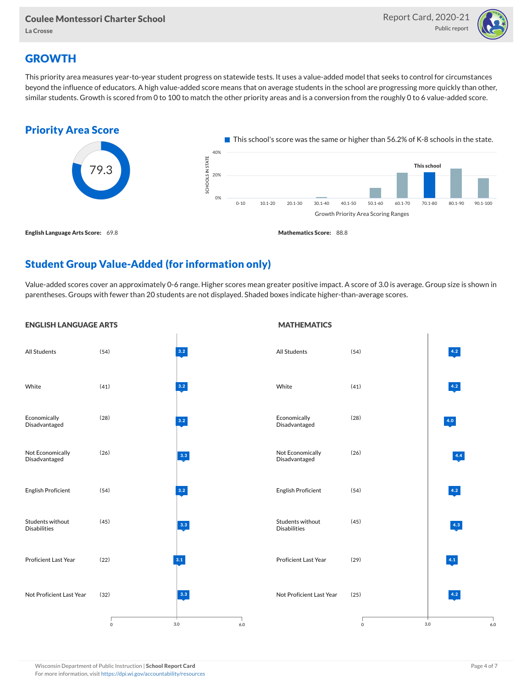

## **GROWTH**

This priority area measures year-to-year student progress on statewide tests. It uses a value-added model that seeks to control for circumstances beyond the influence of educators. A high value-added score means that on average students in the school are progressing more quickly than other, similar students. Growth is scored from 0 to 100 to match the other priority areas and is a conversion from the roughly 0 to 6 value-added score.



## Student Group Value-Added (for information only)

Value-added scores cover an approximately 0-6 range. Higher scores mean greater positive impact. A score of 3.0 is average. Group size is shown in parentheses. Groups with fewer than 20 students are not displayed. Shaded boxes indicate higher-than-average scores.

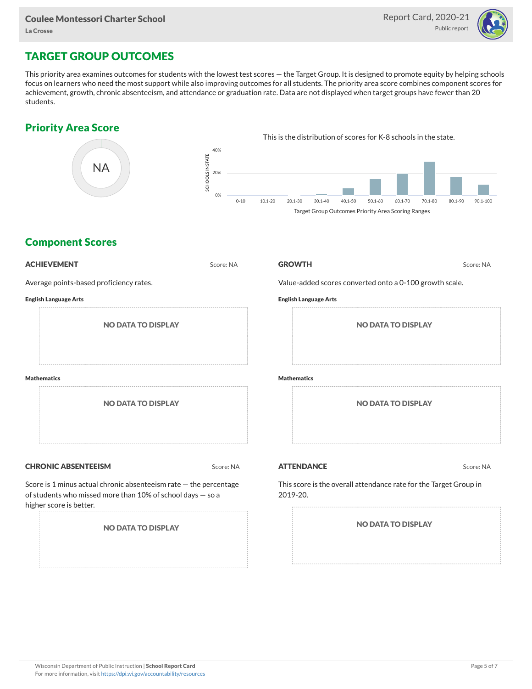

# TARGET GROUP OUTCOMES

This priority area examines outcomes for students with the lowest test scores — the Target Group. It is designed to promote equity by helping schools focus on learners who need the most support while also improving outcomes for all students. The priority area score combines component scores for achievement, growth, chronic absenteeism, and attendance or graduation rate. Data are not displayed when target groups have fewer than 20 students.

### Priority Area Score



### Component Scores

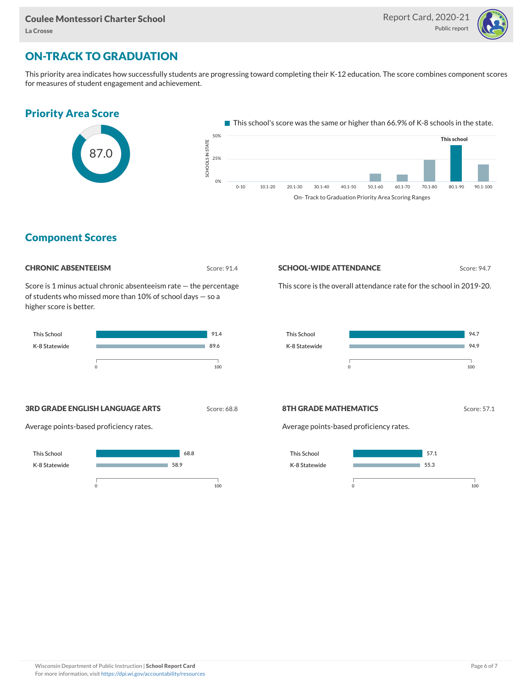

## ON-TRACK TO GRADUATION

This priority area indicates how successfully students are progressing toward completing their K-12 education. The score combines component scores for measures of student engagement and achievement.

### Priority Area Score



This school's score was the same or higher than 66.9% of K-8 schools in the state. OLS IN STATE<br>...<br>... 25% 50% This school



### Component Scores

#### CHRONIC ABSENTEEISM Score: 91.4

SCHO

0%

Score is 1 minus actual chronic absenteeism rate — the percentage of students who missed more than 10% of school days — so a higher score is better.



#### **SCHOOL-WIDE ATTENDANCE** Score: 94.7

This score is the overall attendance rate for the school in 2019-20.



#### **3RD GRADE ENGLISH LANGUAGE ARTS** Score: 68.8

Average points-based proficiency rates.



#### 8TH GRADE MATHEMATICS Score: 57.1

Average points-based proficiency rates.